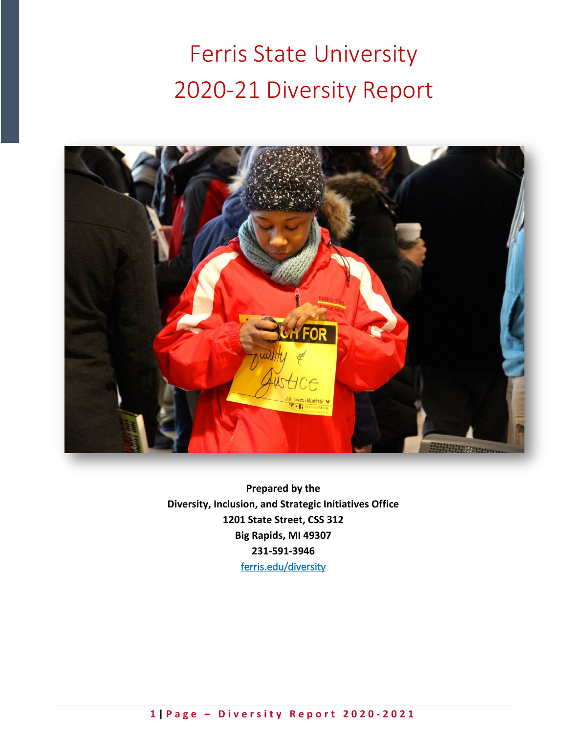Ferris State University 2020-21 Diversity Report



**Prepared by the Diversity, Inclusion, and Strategic Initiatives Office 1201 State Street, CSS 312 Big Rapids, MI 49307 231-591-3946** [ferris.edu/diversity](https://www.ferris.edu/HTMLS/administration/president/DiversityOffice/homepage.htm)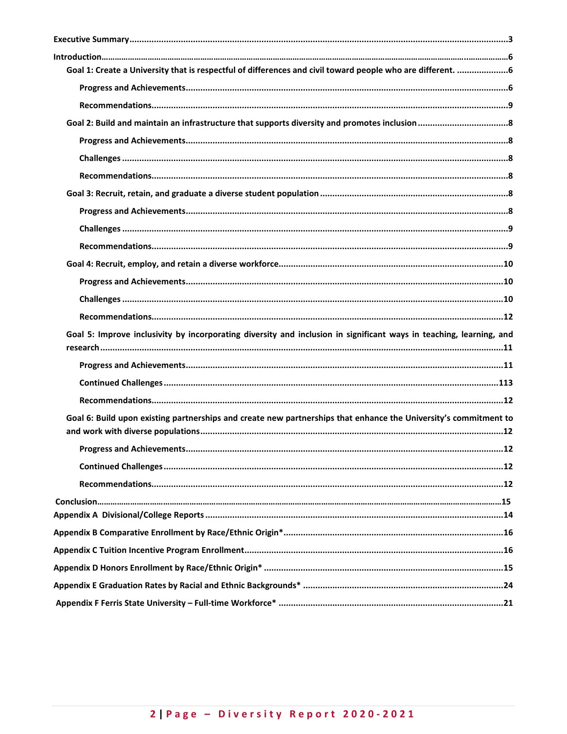| Goal 1: Create a University that is respectful of differences and civil toward people who are different. 6          |    |
|---------------------------------------------------------------------------------------------------------------------|----|
|                                                                                                                     |    |
|                                                                                                                     |    |
|                                                                                                                     |    |
|                                                                                                                     |    |
|                                                                                                                     |    |
|                                                                                                                     |    |
|                                                                                                                     |    |
|                                                                                                                     |    |
|                                                                                                                     |    |
|                                                                                                                     |    |
|                                                                                                                     |    |
|                                                                                                                     |    |
|                                                                                                                     |    |
|                                                                                                                     |    |
|                                                                                                                     |    |
| Goal 5: Improve inclusivity by incorporating diversity and inclusion in significant ways in teaching, learning, and |    |
|                                                                                                                     |    |
|                                                                                                                     |    |
|                                                                                                                     |    |
|                                                                                                                     |    |
| Goal 6: Build upon existing partnerships and create new partnerships that enhance the University's commitment to    |    |
|                                                                                                                     |    |
|                                                                                                                     | 12 |
|                                                                                                                     |    |
|                                                                                                                     |    |
|                                                                                                                     |    |
|                                                                                                                     |    |
|                                                                                                                     |    |
|                                                                                                                     |    |
|                                                                                                                     |    |
|                                                                                                                     |    |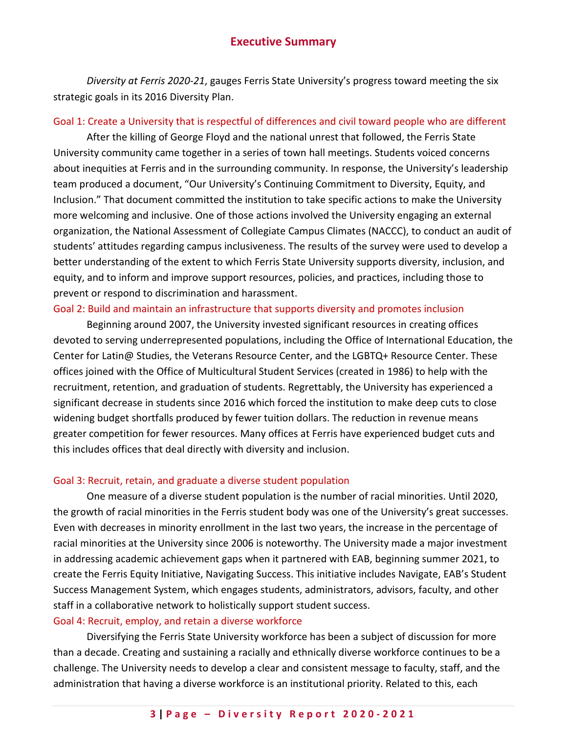## **Executive Summary**

<span id="page-2-0"></span>*Diversity at Ferris 2020-21*, gauges Ferris State University's progress toward meeting the six strategic goals in its 2016 Diversity Plan.

## Goal 1: Create a University that is respectful of differences and civil toward people who are different

After the killing of George Floyd and the national unrest that followed, the Ferris State University community came together in a series of town hall meetings. Students voiced concerns about inequities at Ferris and in the surrounding community. In response, the University's leadership team produced a document, "Our University's Continuing Commitment to Diversity, Equity, and Inclusion." That document committed the institution to take specific actions to make the University more welcoming and inclusive. One of those actions involved the University engaging an external organization, the National Assessment of Collegiate Campus Climates (NACCC), to conduct an audit of students' attitudes regarding campus inclusiveness. The results of the survey were used to develop a better understanding of the extent to which Ferris State University supports diversity, inclusion, and equity, and to inform and improve support resources, policies, and practices, including those to prevent or respond to discrimination and harassment.

## Goal 2: Build and maintain an infrastructure that supports diversity and promotes inclusion

Beginning around 2007, the University invested significant resources in creating offices devoted to serving underrepresented populations, including the Office of International Education, the Center for Latin@ Studies, the Veterans Resource Center, and the LGBTQ+ Resource Center. These offices joined with the Office of Multicultural Student Services (created in 1986) to help with the recruitment, retention, and graduation of students. Regrettably, the University has experienced a significant decrease in students since 2016 which forced the institution to make deep cuts to close widening budget shortfalls produced by fewer tuition dollars. The reduction in revenue means greater competition for fewer resources. Many offices at Ferris have experienced budget cuts and this includes offices that deal directly with diversity and inclusion.

## Goal 3: Recruit, retain, and graduate a diverse student population

One measure of a diverse student population is the number of racial minorities. Until 2020, the growth of racial minorities in the Ferris student body was one of the University's great successes. Even with decreases in minority enrollment in the last two years, the increase in the percentage of racial minorities at the University since 2006 is noteworthy. The University made a major investment in addressing academic achievement gaps when it partnered with EAB, beginning summer 2021, to create the Ferris Equity Initiative, Navigating Success. This initiative includes Navigate, EAB's Student Success Management System, which engages students, administrators, advisors, faculty, and other staff in a collaborative network to holistically support student success.

## Goal 4: Recruit, employ, and retain a diverse workforce

Diversifying the Ferris State University workforce has been a subject of discussion for more than a decade. Creating and sustaining a racially and ethnically diverse workforce continues to be a challenge. The University needs to develop a clear and consistent message to faculty, staff, and the administration that having a diverse workforce is an institutional priority. Related to this, each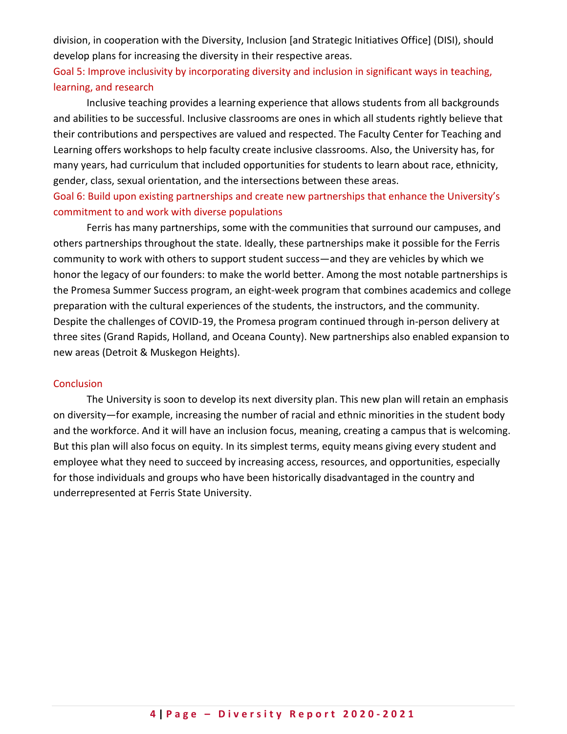division, in cooperation with the Diversity, Inclusion [and Strategic Initiatives Office] (DISI), should develop plans for increasing the diversity in their respective areas.

## Goal 5: Improve inclusivity by incorporating diversity and inclusion in significant ways in teaching, learning, and research

Inclusive teaching provides a learning experience that allows students from all backgrounds and abilities to be successful. Inclusive classrooms are ones in which all students rightly believe that their contributions and perspectives are valued and respected. The Faculty Center for Teaching and Learning offers workshops to help faculty create inclusive classrooms. Also, the University has, for many years, had curriculum that included opportunities for students to learn about race, ethnicity, gender, class, sexual orientation, and the intersections between these areas.

## Goal 6: Build upon existing partnerships and create new partnerships that enhance the University's commitment to and work with diverse populations

Ferris has many partnerships, some with the communities that surround our campuses, and others partnerships throughout the state. Ideally, these partnerships make it possible for the Ferris community to work with others to support student success—and they are vehicles by which we honor the legacy of our founders: to make the world better. Among the most notable partnerships is the Promesa Summer Success program, an eight-week program that combines academics and college preparation with the cultural experiences of the students, the instructors, and the community. Despite the challenges of COVID-19, the Promesa program continued through in-person delivery at three sites (Grand Rapids, Holland, and Oceana County). New partnerships also enabled expansion to new areas (Detroit & Muskegon Heights).

### **Conclusion**

The University is soon to develop its next diversity plan. This new plan will retain an emphasis on diversity—for example, increasing the number of racial and ethnic minorities in the student body and the workforce. And it will have an inclusion focus, meaning, creating a campus that is welcoming. But this plan will also focus on equity. In its simplest terms, equity means giving every student and employee what they need to succeed by increasing access, resources, and opportunities, especially for those individuals and groups who have been historically disadvantaged in the country and underrepresented at Ferris State University.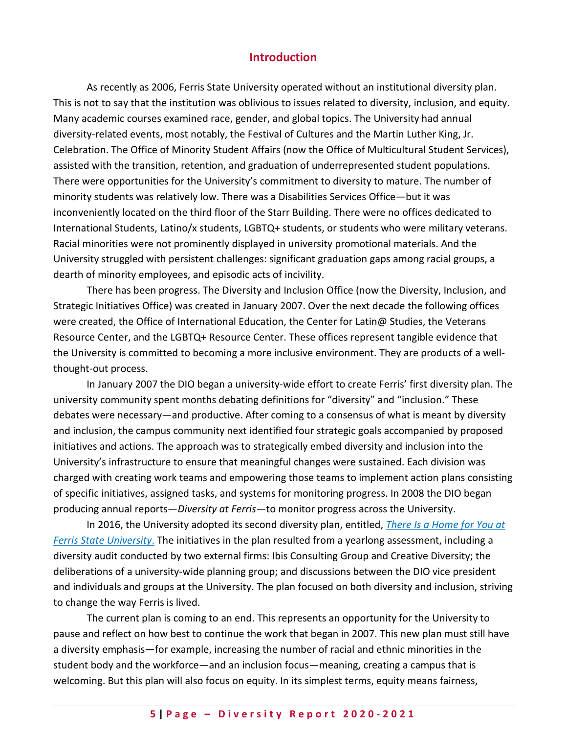## **Introduction**

<span id="page-4-0"></span>As recently as 2006, Ferris State University operated without an institutional diversity plan. This is not to say that the institution was oblivious to issues related to diversity, inclusion, and equity. Many academic courses examined race, gender, and global topics. The University had annual diversity-related events, most notably, the Festival of Cultures and the Martin Luther King, Jr. Celebration. The Office of Minority Student Affairs (now the Office of Multicultural Student Services), assisted with the transition, retention, and graduation of underrepresented student populations. There were opportunities for the University's commitment to diversity to mature. The number of minority students was relatively low. There was a Disabilities Services Office—but it was inconveniently located on the third floor of the Starr Building. There were no offices dedicated to International Students, Latino/x students, LGBTQ+ students, or students who were military veterans. Racial minorities were not prominently displayed in university promotional materials. And the University struggled with persistent challenges: significant graduation gaps among racial groups, a dearth of minority employees, and episodic acts of incivility.

There has been progress. The Diversity and Inclusion Office (now the Diversity, Inclusion, and Strategic Initiatives Office) was created in January 2007. Over the next decade the following offices were created, the Office of International Education, the Center for Latin@ Studies, the Veterans Resource Center, and the LGBTQ+ Resource Center. These offices represent tangible evidence that the University is committed to becoming a more inclusive environment. They are products of a wellthought-out process.

In January 2007 the DIO began a university-wide effort to create Ferris' first diversity plan. The university community spent months debating definitions for "diversity" and "inclusion." These debates were necessary—and productive. After coming to a consensus of what is meant by diversity and inclusion, the campus community next identified four strategic goals accompanied by proposed initiatives and actions. The approach was to strategically embed diversity and inclusion into the University's infrastructure to ensure that meaningful changes were sustained. Each division was charged with creating work teams and empowering those teams to implement action plans consisting of specific initiatives, assigned tasks, and systems for monitoring progress. In 2008 the DIO began producing annual reports—*Diversity at Ferris*—to monitor progress across the University.

In 2016, the University adopted its second diversity plan, entitled, *[There Is a Home for You at](https://www.ferris.edu/HTMLS/administration/president/DiversityOffice/pdf/DiversityPlan2016.pdf)  [Ferris State University](https://www.ferris.edu/HTMLS/administration/president/DiversityOffice/pdf/DiversityPlan2016.pdf)*. The initiatives in the plan resulted from a yearlong assessment, including a diversity audit conducted by two external firms: Ibis Consulting Group and Creative Diversity; the deliberations of a university-wide planning group; and discussions between the DIO vice president and individuals and groups at the University. The plan focused on both diversity and inclusion, striving to change the way Ferris is lived.

The current plan is coming to an end. This represents an opportunity for the University to pause and reflect on how best to continue the work that began in 2007. This new plan must still have a diversity emphasis—for example, increasing the number of racial and ethnic minorities in the student body and the workforce—and an inclusion focus—meaning, creating a campus that is welcoming. But this plan will also focus on equity. In its simplest terms, equity means fairness,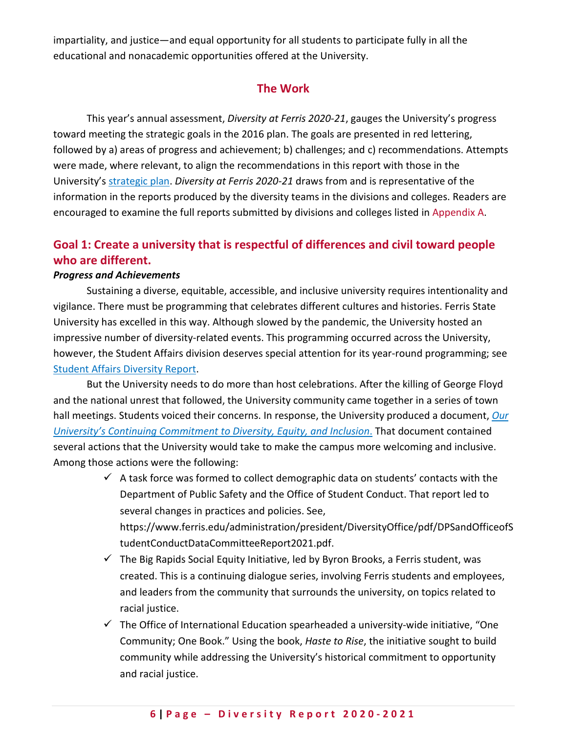impartiality, and justice—and equal opportunity for all students to participate fully in all the educational and nonacademic opportunities offered at the University.

## **The Work**

This year's annual assessment, *Diversity at Ferris 2020-21*, gauges the University's progress toward meeting the strategic goals in the 2016 plan. The goals are presented in red lettering, followed by a) areas of progress and achievement; b) challenges; and c) recommendations. Attempts were made, where relevant, to align the recommendations in this report with those in the University's [strategic plan.](https://www.ferris.edu/strategic-planning2/strategicplan19_24/pdfs/StrategicPlan2019_2024.pdf) *Diversity at Ferris 2020-21* draws from and is representative of the information in the reports produced by the diversity teams in the divisions and colleges. Readers are encouraged to examine the full reports submitted by divisions and colleges listed in Appendix A.

# <span id="page-5-0"></span>**Goal 1: Create a university that is respectful of differences and civil toward people who are different.**

## <span id="page-5-1"></span>*Progress and Achievements*

Sustaining a diverse, equitable, accessible, and inclusive university requires intentionality and vigilance. There must be programming that celebrates different cultures and histories. Ferris State University has excelled in this way. Although slowed by the pandemic, the University hosted an impressive number of diversity-related events. This programming occurred across the University, however, the Student Affairs division deserves special attention for its year-round programming; see [Student Affairs Diversity Report.](https://www.ferris.edu/HTMLS/administration/president/DiversityOffice/pdf/2018_2019Reports/StudentAffairs2018_2019DiversityReport.pdf)

But the University needs to do more than host celebrations. After the killing of George Floyd and the national unrest that followed, the University community came together in a series of town hall meetings. Students voiced their concerns. In response, the University produced a document, *[Our](https://www.ferris.edu/administration/president/Commitment-to-DEI.pdf)  [University's Continuing Commitment to Diversity, Equity, and Inclusion](https://www.ferris.edu/administration/president/Commitment-to-DEI.pdf)*. That document contained several actions that the University would take to make the campus more welcoming and inclusive. Among those actions were the following:

- $\checkmark$  A task force was formed to collect demographic data on students' contacts with the Department of Public Safety and the Office of Student Conduct. That report led to several changes in practices and policies. See, https://www.ferris.edu/administration/president/DiversityOffice/pdf/DPSandOfficeofS tudentConductDataCommitteeReport2021.pdf.
- $\checkmark$  The Big Rapids Social Equity Initiative, led by Byron Brooks, a Ferris student, was created. This is a continuing dialogue series, involving Ferris students and employees, and leaders from the community that surrounds the university, on topics related to racial justice.
- $\checkmark$  The Office of International Education spearheaded a university-wide initiative, "One Community; One Book." Using the book, *Haste to Rise*, the initiative sought to build community while addressing the University's historical commitment to opportunity and racial justice.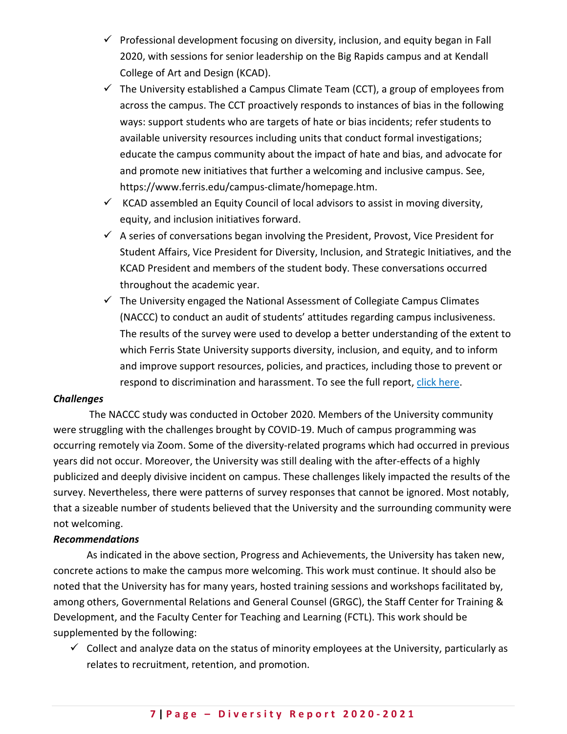- $\checkmark$  Professional development focusing on diversity, inclusion, and equity began in Fall 2020, with sessions for senior leadership on the Big Rapids campus and at Kendall College of Art and Design (KCAD).
- $\checkmark$  The University established a Campus Climate Team (CCT), a group of employees from across the campus. The CCT proactively responds to instances of bias in the following ways: support students who are targets of hate or bias incidents; refer students to available university resources including units that conduct formal investigations; educate the campus community about the impact of hate and bias, and advocate for and promote new initiatives that further a welcoming and inclusive campus. See, https://www.ferris.edu/campus-climate/homepage.htm.
- $\checkmark$  KCAD assembled an Equity Council of local advisors to assist in moving diversity, equity, and inclusion initiatives forward.
- $\checkmark$  A series of conversations began involving the President, Provost, Vice President for Student Affairs, Vice President for Diversity, Inclusion, and Strategic Initiatives, and the KCAD President and members of the student body. These conversations occurred throughout the academic year.
- $\checkmark$  The University engaged the National Assessment of Collegiate Campus Climates (NACCC) to conduct an audit of students' attitudes regarding campus inclusiveness. The results of the survey were used to develop a better understanding of the extent to which Ferris State University supports diversity, inclusion, and equity, and to inform and improve support resources, policies, and practices, including those to prevent or respond to discrimination and harassment. To see the full report, [click here.](https://www.ferris.edu/administration/president/DiversityOffice/pdf/Ferris-State-NACCC-2020-FALL-REPORT.pdf)

### *Challenges*

The NACCC study was conducted in October 2020. Members of the University community were struggling with the challenges brought by COVID-19. Much of campus programming was occurring remotely via Zoom. Some of the diversity-related programs which had occurred in previous years did not occur. Moreover, the University was still dealing with the after-effects of a highly publicized and deeply divisive incident on campus. These challenges likely impacted the results of the survey. Nevertheless, there were patterns of survey responses that cannot be ignored. Most notably, that a sizeable number of students believed that the University and the surrounding community were not welcoming.

### <span id="page-6-0"></span>*Recommendations*

As indicated in the above section, Progress and Achievements, the University has taken new, concrete actions to make the campus more welcoming. This work must continue. It should also be noted that the University has for many years, hosted training sessions and workshops facilitated by, among others, Governmental Relations and General Counsel (GRGC), the Staff Center for Training & Development, and the Faculty Center for Teaching and Learning (FCTL). This work should be supplemented by the following:

 $\checkmark$  Collect and analyze data on the status of minority employees at the University, particularly as relates to recruitment, retention, and promotion.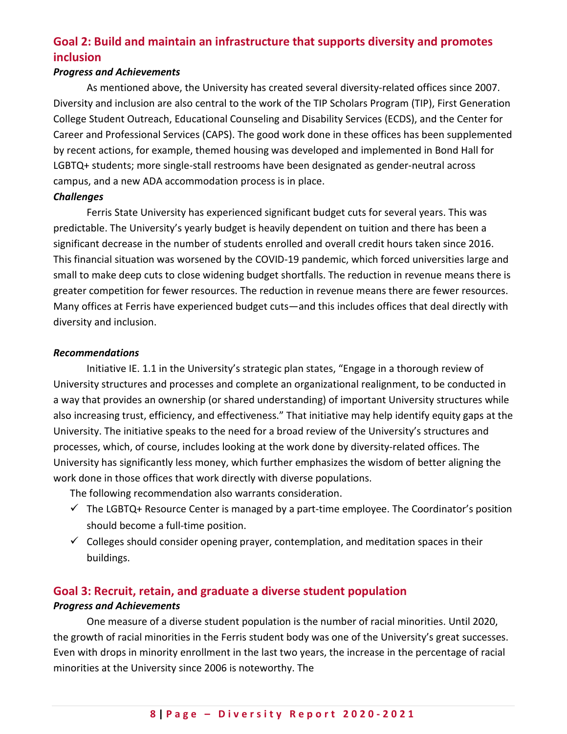# <span id="page-7-0"></span>**Goal 2: Build and maintain an infrastructure that supports diversity and promotes inclusion**

## <span id="page-7-1"></span>*Progress and Achievements*

As mentioned above, the University has created several diversity-related offices since 2007. Diversity and inclusion are also central to the work of the TIP Scholars Program (TIP), First Generation College Student Outreach, Educational Counseling and Disability Services (ECDS), and the Center for Career and Professional Services (CAPS). The good work done in these offices has been supplemented by recent actions, for example, themed housing was developed and implemented in Bond Hall for LGBTQ+ students; more single-stall restrooms have been designated as gender-neutral across campus, and a new ADA accommodation process is in place.

### <span id="page-7-2"></span>*Challenges*

Ferris State University has experienced significant budget cuts for several years. This was predictable. The University's yearly budget is heavily dependent on tuition and there has been a significant decrease in the number of students enrolled and overall credit hours taken since 2016. This financial situation was worsened by the COVID-19 pandemic, which forced universities large and small to make deep cuts to close widening budget shortfalls. The reduction in revenue means there is greater competition for fewer resources. The reduction in revenue means there are fewer resources. Many offices at Ferris have experienced budget cuts—and this includes offices that deal directly with diversity and inclusion.

### <span id="page-7-3"></span>*Recommendations*

Initiative IE. 1.1 in the University's strategic plan states, "Engage in a thorough review of University structures and processes and complete an organizational realignment, to be conducted in a way that provides an ownership (or shared understanding) of important University structures while also increasing trust, efficiency, and effectiveness." That initiative may help identify equity gaps at the University. The initiative speaks to the need for a broad review of the University's structures and processes, which, of course, includes looking at the work done by diversity-related offices. The University has significantly less money, which further emphasizes the wisdom of better aligning the work done in those offices that work directly with diverse populations.

The following recommendation also warrants consideration.

- $\checkmark$  The LGBTQ+ Resource Center is managed by a part-time employee. The Coordinator's position should become a full-time position.
- $\checkmark$  Colleges should consider opening prayer, contemplation, and meditation spaces in their buildings.

## <span id="page-7-4"></span>**Goal 3: Recruit, retain, and graduate a diverse student population**

## <span id="page-7-5"></span>*Progress and Achievements*

One measure of a diverse student population is the number of racial minorities. Until 2020, the growth of racial minorities in the Ferris student body was one of the University's great successes. Even with drops in minority enrollment in the last two years, the increase in the percentage of racial minorities at the University since 2006 is noteworthy. The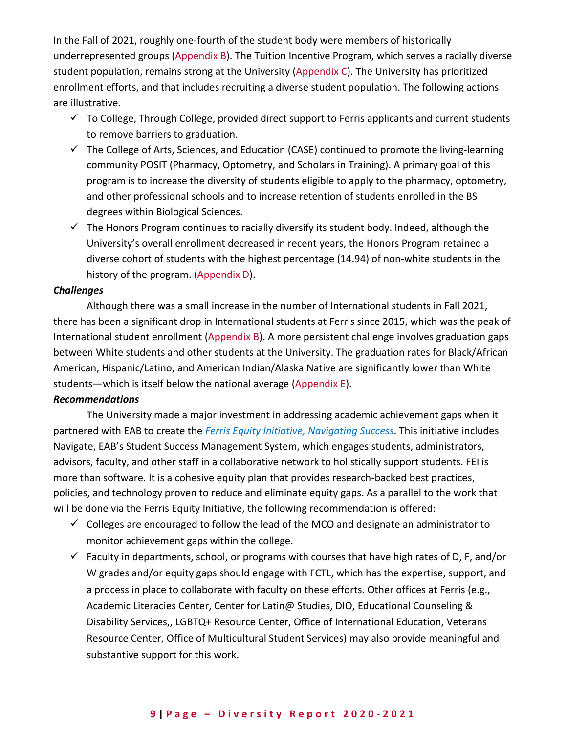In the Fall of 2021, roughly one-fourth of the student body were members of historically underrepresented groups (Appendix B). The Tuition Incentive Program, which serves a racially diverse student population, remains strong at the University (Appendix C). The University has prioritized enrollment efforts, and that includes recruiting a diverse student population. The following actions are illustrative.

- $\checkmark$  To College, Through College, provided direct support to Ferris applicants and current students to remove barriers to graduation.
- $\checkmark$  The College of Arts, Sciences, and Education (CASE) continued to promote the living-learning community POSIT (Pharmacy, Optometry, and Scholars in Training). A primary goal of this program is to increase the diversity of students eligible to apply to the pharmacy, optometry, and other professional schools and to increase retention of students enrolled in the BS degrees within Biological Sciences.
- $\checkmark$  The Honors Program continues to racially diversify its student body. Indeed, although the University's overall enrollment decreased in recent years, the Honors Program retained a diverse cohort of students with the highest percentage (14.94) of non-white students in the history of the program. (Appendix D).

### <span id="page-8-0"></span>*Challenges*

Although there was a small increase in the number of International students in Fall 2021, there has been a significant drop in International students at Ferris since 2015, which was the peak of International student enrollment (Appendix B). A more persistent challenge involves graduation gaps between White students and other students at the University. The graduation rates for Black/African American, Hispanic/Latino, and American Indian/Alaska Native are significantly lower than White students—which is itself below the national average (Appendix E).

### <span id="page-8-1"></span>*Recommendations*

The University made a major investment in addressing academic achievement gaps when it partnered with EAB to create the *[Ferris Equity Initiative, Navigating Success](https://www.ferris.edu/equity-initiative/index.htm)*. This initiative includes Navigate, EAB's Student Success Management System, which engages students, administrators, advisors, faculty, and other staff in a collaborative network to holistically support students. FEI is more than software. It is a cohesive equity plan that provides research-backed best practices, policies, and technology proven to reduce and eliminate equity gaps. As a parallel to the work that will be done via the Ferris Equity Initiative, the following recommendation is offered:

- $\checkmark$  Colleges are encouraged to follow the lead of the MCO and designate an administrator to monitor achievement gaps within the college.
- $\checkmark$  Faculty in departments, school, or programs with courses that have high rates of D, F, and/or W grades and/or equity gaps should engage with FCTL, which has the expertise, support, and a process in place to collaborate with faculty on these efforts. Other offices at Ferris (e.g., Academic Literacies Center, Center for Latin@ Studies, DIO, Educational Counseling & Disability Services,, LGBTQ+ Resource Center, Office of International Education, Veterans Resource Center, Office of Multicultural Student Services) may also provide meaningful and substantive support for this work.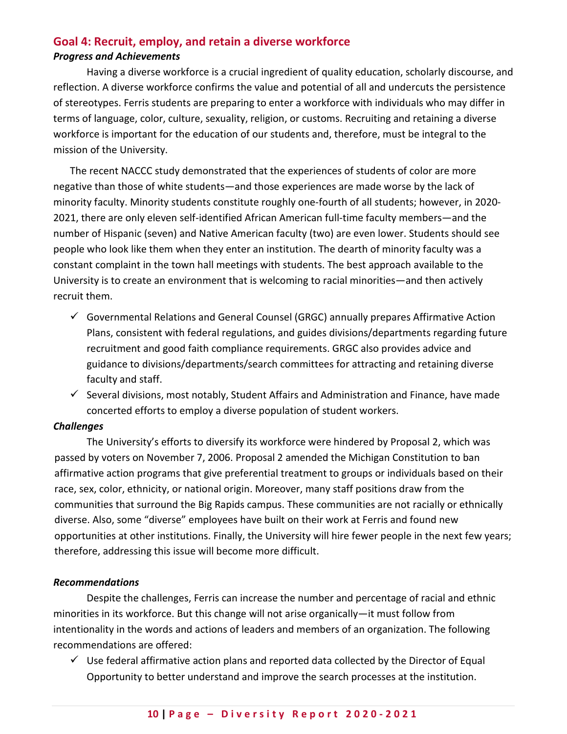## <span id="page-9-1"></span><span id="page-9-0"></span>**Goal 4: Recruit, employ, and retain a diverse workforce** *Progress and Achievements*

Having a diverse workforce is a crucial ingredient of quality education, scholarly discourse, and reflection. A diverse workforce confirms the value and potential of all and undercuts the persistence of stereotypes. Ferris students are preparing to enter a workforce with individuals who may differ in terms of language, color, culture, sexuality, religion, or customs. Recruiting and retaining a diverse workforce is important for the education of our students and, therefore, must be integral to the mission of the University.

The recent NACCC study demonstrated that the experiences of students of color are more negative than those of white students—and those experiences are made worse by the lack of minority faculty. Minority students constitute roughly one-fourth of all students; however, in 2020- 2021, there are only eleven self-identified African American full-time faculty members—and the number of Hispanic (seven) and Native American faculty (two) are even lower. Students should see people who look like them when they enter an institution. The dearth of minority faculty was a constant complaint in the town hall meetings with students. The best approach available to the University is to create an environment that is welcoming to racial minorities—and then actively recruit them.

- $\checkmark$  Governmental Relations and General Counsel (GRGC) annually prepares Affirmative Action Plans, consistent with federal regulations, and guides divisions/departments regarding future recruitment and good faith compliance requirements. GRGC also provides advice and guidance to divisions/departments/search committees for attracting and retaining diverse faculty and staff.
- <span id="page-9-2"></span> $\checkmark$  Several divisions, most notably, Student Affairs and Administration and Finance, have made concerted efforts to employ a diverse population of student workers.

## *Challenges*

The University's efforts to diversify its workforce were hindered by Proposal 2, which was passed by voters on November 7, 2006. Proposal 2 amended the Michigan Constitution to ban affirmative action programs that give preferential treatment to groups or individuals based on their race, sex, color, ethnicity, or national origin. Moreover, many staff positions draw from the communities that surround the Big Rapids campus. These communities are not racially or ethnically diverse. Also, some "diverse" employees have built on their work at Ferris and found new opportunities at other institutions. Finally, the University will hire fewer people in the next few years; therefore, addressing this issue will become more difficult.

## <span id="page-9-3"></span>*Recommendations*

Despite the challenges, Ferris can increase the number and percentage of racial and ethnic minorities in its workforce. But this change will not arise organically—it must follow from intentionality in the words and actions of leaders and members of an organization. The following recommendations are offered:

 $\checkmark$  Use federal affirmative action plans and reported data collected by the Director of Equal Opportunity to better understand and improve the search processes at the institution.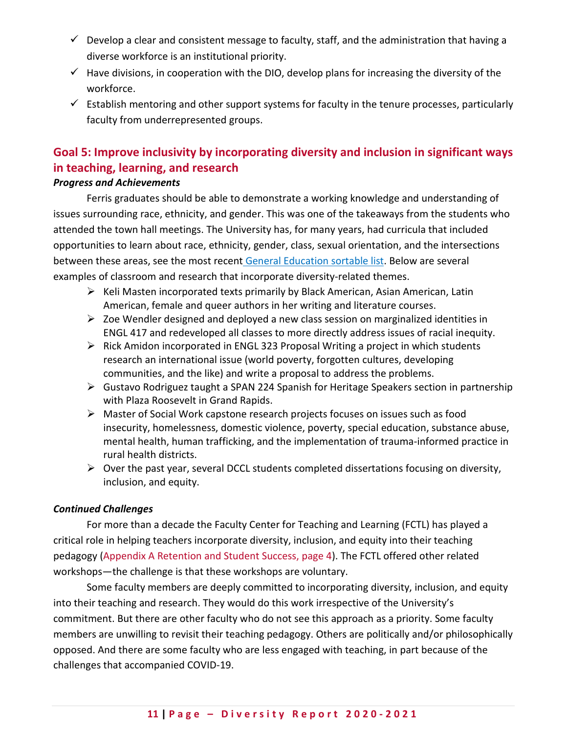- $\checkmark$  Develop a clear and consistent message to faculty, staff, and the administration that having a diverse workforce is an institutional priority.
- $\checkmark$  Have divisions, in cooperation with the DIO, develop plans for increasing the diversity of the workforce.
- $\checkmark$  Establish mentoring and other support systems for faculty in the tenure processes, particularly faculty from underrepresented groups.

# <span id="page-10-0"></span>**Goal 5: Improve inclusivity by incorporating diversity and inclusion in significant ways in teaching, learning, and research**

## <span id="page-10-1"></span>*Progress and Achievements*

Ferris graduates should be able to demonstrate a working knowledge and understanding of issues surrounding race, ethnicity, and gender. This was one of the takeaways from the students who attended the town hall meetings. The University has, for many years, had curricula that included opportunities to learn about race, ethnicity, gender, class, sexual orientation, and the intersections between these areas, see the most recent [General Education sortable list.](https://wwws.ferris.edu/academics/gened/coursesnoborder/yearly.cfm?term=202108) Below are several examples of classroom and research that incorporate diversity-related themes.

- <span id="page-10-2"></span> $\triangleright$  Keli Masten incorporated texts primarily by Black American, Asian American, Latin American, female and queer authors in her writing and literature courses.
- $\triangleright$  Zoe Wendler designed and deployed a new class session on marginalized identities in ENGL 417 and redeveloped all classes to more directly address issues of racial inequity.
- $\triangleright$  Rick Amidon incorporated in ENGL 323 Proposal Writing a project in which students research an international issue (world poverty, forgotten cultures, developing communities, and the like) and write a proposal to address the problems.
- Gustavo Rodriguez taught a SPAN 224 Spanish for Heritage Speakers section in partnership with Plaza Roosevelt in Grand Rapids.
- Master of Social Work capstone research projects focuses on issues such as food insecurity, homelessness, domestic violence, poverty, special education, substance abuse, mental health, human trafficking, and the implementation of trauma-informed practice in rural health districts.
- $\triangleright$  Over the past year, several DCCL students completed dissertations focusing on diversity, inclusion, and equity.

## *Continued Challenges*

For more than a decade the Faculty Center for Teaching and Learning (FCTL) has played a critical role in helping teachers incorporate diversity, inclusion, and equity into their teaching pedagogy (Appendix A Retention and Student Success, page 4). The FCTL offered other related workshops—the challenge is that these workshops are voluntary.

Some faculty members are deeply committed to incorporating diversity, inclusion, and equity into their teaching and research. They would do this work irrespective of the University's commitment. But there are other faculty who do not see this approach as a priority. Some faculty members are unwilling to revisit their teaching pedagogy. Others are politically and/or philosophically opposed. And there are some faculty who are less engaged with teaching, in part because of the challenges that accompanied COVID-19.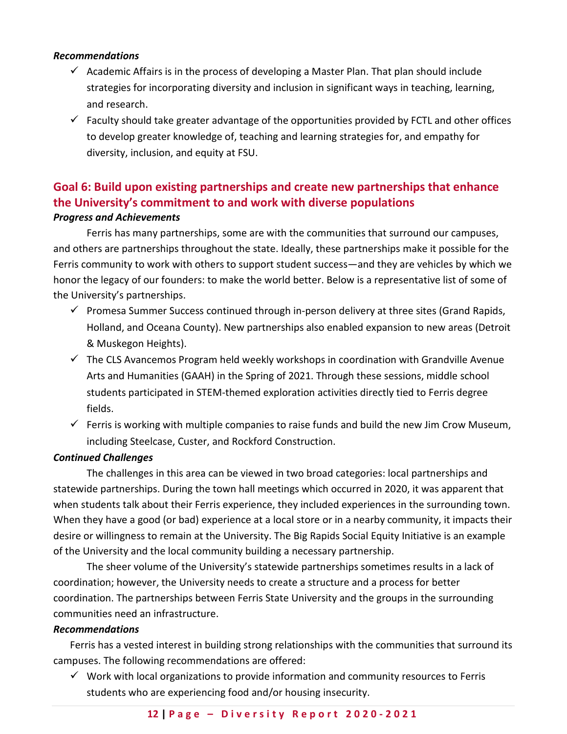## <span id="page-11-0"></span>*Recommendations*

- $\checkmark$  Academic Affairs is in the process of developing a Master Plan. That plan should include strategies for incorporating diversity and inclusion in significant ways in teaching, learning, and research.
- $\checkmark$  Faculty should take greater advantage of the opportunities provided by FCTL and other offices to develop greater knowledge of, teaching and learning strategies for, and empathy for diversity, inclusion, and equity at FSU.

# <span id="page-11-1"></span>**Goal 6: Build upon existing partnerships and create new partnerships that enhance the University's commitment to and work with diverse populations** *Progress and Achievements*

<span id="page-11-2"></span>Ferris has many partnerships, some are with the communities that surround our campuses, and others are partnerships throughout the state. Ideally, these partnerships make it possible for the Ferris community to work with others to support student success—and they are vehicles by which we honor the legacy of our founders: to make the world better. Below is a representative list of some of the University's partnerships.

- $\checkmark$  Promesa Summer Success continued through in-person delivery at three sites (Grand Rapids, Holland, and Oceana County). New partnerships also enabled expansion to new areas (Detroit & Muskegon Heights).
- $\checkmark$  The CLS Avancemos Program held weekly workshops in coordination with Grandville Avenue Arts and Humanities (GAAH) in the Spring of 2021. Through these sessions, middle school students participated in STEM-themed exploration activities directly tied to Ferris degree fields.
- $\checkmark$  Ferris is working with multiple companies to raise funds and build the new Jim Crow Museum, including Steelcase, Custer, and Rockford Construction.

## <span id="page-11-3"></span>*Continued Challenges*

The challenges in this area can be viewed in two broad categories: local partnerships and statewide partnerships. During the town hall meetings which occurred in 2020, it was apparent that when students talk about their Ferris experience, they included experiences in the surrounding town. When they have a good (or bad) experience at a local store or in a nearby community, it impacts their desire or willingness to remain at the University. The Big Rapids Social Equity Initiative is an example of the University and the local community building a necessary partnership.

The sheer volume of the University's statewide partnerships sometimes results in a lack of coordination; however, the University needs to create a structure and a process for better coordination. The partnerships between Ferris State University and the groups in the surrounding communities need an infrastructure.

## <span id="page-11-4"></span>*Recommendations*

Ferris has a vested interest in building strong relationships with the communities that surround its campuses. The following recommendations are offered:

 $\checkmark$  Work with local organizations to provide information and community resources to Ferris students who are experiencing food and/or housing insecurity.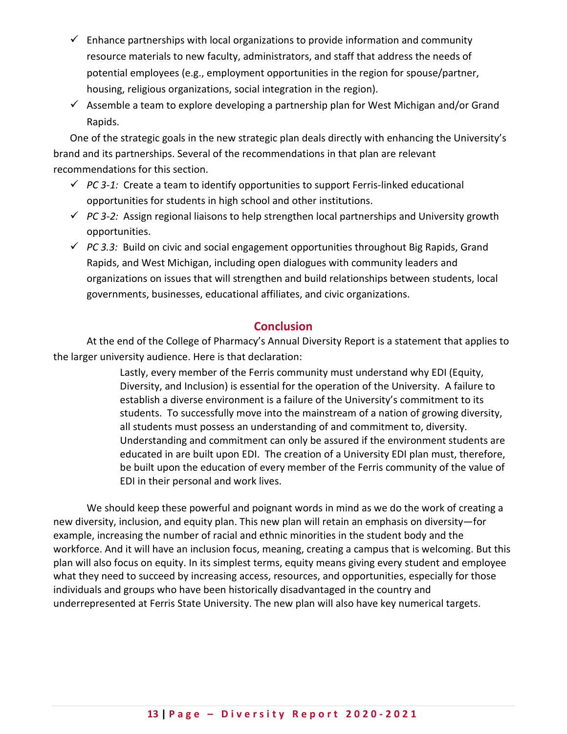- $\checkmark$  Enhance partnerships with local organizations to provide information and community resource materials to new faculty, administrators, and staff that address the needs of potential employees (e.g., employment opportunities in the region for spouse/partner, housing, religious organizations, social integration in the region).
- $\checkmark$  Assemble a team to explore developing a partnership plan for West Michigan and/or Grand Rapids.

One of the strategic goals in the new strategic plan deals directly with enhancing the University's brand and its partnerships. Several of the recommendations in that plan are relevant recommendations for this section.

- $\checkmark$  PC 3-1: Create a team to identify opportunities to support Ferris-linked educational opportunities for students in high school and other institutions.
- *PC 3-2:* Assign regional liaisons to help strengthen local partnerships and University growth opportunities.
- *PC 3.3:* Build on civic and social engagement opportunities throughout Big Rapids, Grand Rapids, and West Michigan, including open dialogues with community leaders and organizations on issues that will strengthen and build relationships between students, local governments, businesses, educational affiliates, and civic organizations.

## **Conclusion**

<span id="page-12-0"></span>At the end of the College of Pharmacy's Annual Diversity Report is a statement that applies to the larger university audience. Here is that declaration:

> Lastly, every member of the Ferris community must understand why EDI (Equity, Diversity, and Inclusion) is essential for the operation of the University. A failure to establish a diverse environment is a failure of the University's commitment to its students. To successfully move into the mainstream of a nation of growing diversity, all students must possess an understanding of and commitment to, diversity. Understanding and commitment can only be assured if the environment students are educated in are built upon EDI. The creation of a University EDI plan must, therefore, be built upon the education of every member of the Ferris community of the value of EDI in their personal and work lives.

We should keep these powerful and poignant words in mind as we do the work of creating a new diversity, inclusion, and equity plan. This new plan will retain an emphasis on diversity—for example, increasing the number of racial and ethnic minorities in the student body and the workforce. And it will have an inclusion focus, meaning, creating a campus that is welcoming. But this plan will also focus on equity. In its simplest terms, equity means giving every student and employee what they need to succeed by increasing access, resources, and opportunities, especially for those individuals and groups who have been historically disadvantaged in the country and underrepresented at Ferris State University. The new plan will also have key numerical targets.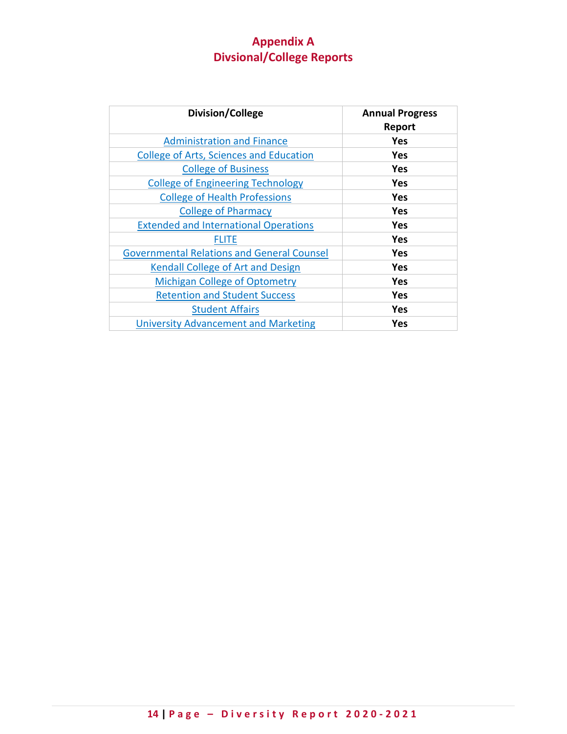# **Appendix A Divsional/College Reports**

<span id="page-13-0"></span>

| Division/College                                  | <b>Annual Progress</b><br>Report |
|---------------------------------------------------|----------------------------------|
| <b>Administration and Finance</b>                 | Yes                              |
| College of Arts, Sciences and Education           | <b>Yes</b>                       |
| <b>College of Business</b>                        | <b>Yes</b>                       |
| <b>College of Engineering Technology</b>          | Yes                              |
| <b>College of Health Professions</b>              | Yes                              |
| <b>College of Pharmacy</b>                        | <b>Yes</b>                       |
| <b>Extended and International Operations</b>      | Yes                              |
| FLITE                                             | Yes                              |
| <b>Governmental Relations and General Counsel</b> | <b>Yes</b>                       |
| Kendall College of Art and Design                 | <b>Yes</b>                       |
| <b>Michigan College of Optometry</b>              | <b>Yes</b>                       |
| <b>Retention and Student Success</b>              | Yes                              |
| <b>Student Affairs</b>                            | Yes                              |
| <b>University Advancement and Marketing</b>       | Yes                              |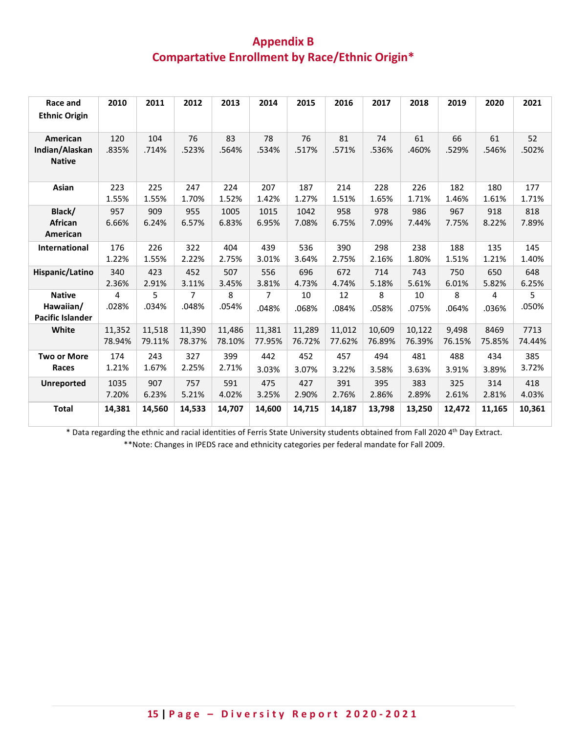# **Appendix B Compartative Enrollment by Race/Ethnic Origin\***

| Race and<br><b>Ethnic Origin</b>                      | 2010         | 2011         | 2012         | 2013          | 2014          | 2015          | 2016         | 2017         | 2018         | 2019         | 2020         | 2021         |
|-------------------------------------------------------|--------------|--------------|--------------|---------------|---------------|---------------|--------------|--------------|--------------|--------------|--------------|--------------|
| American<br>Indian/Alaskan<br><b>Native</b>           | 120<br>.835% | 104<br>.714% | 76<br>.523%  | 83<br>.564%   | 78<br>.534%   | 76<br>.517%   | 81<br>.571%  | 74<br>.536%  | 61<br>.460%  | 66<br>.529%  | 61<br>.546%  | 52<br>.502%  |
| Asian                                                 | 223          | 225          | 247          | 224           | 207           | 187           | 214          | 228          | 226          | 182          | 180          | 177          |
|                                                       | 1.55%        | 1.55%        | 1.70%        | 1.52%         | 1.42%         | 1.27%         | 1.51%        | 1.65%        | 1.71%        | 1.46%        | 1.61%        | 1.71%        |
| Black/<br>African<br>American                         | 957<br>6.66% | 909<br>6.24% | 955<br>6.57% | 1005<br>6.83% | 1015<br>6.95% | 1042<br>7.08% | 958<br>6.75% | 978<br>7.09% | 986<br>7.44% | 967<br>7.75% | 918<br>8.22% | 818<br>7.89% |
| <b>International</b>                                  | 176          | 226          | 322          | 404           | 439           | 536           | 390          | 298          | 238          | 188          | 135          | 145          |
|                                                       | 1.22%        | 1.55%        | 2.22%        | 2.75%         | 3.01%         | 3.64%         | 2.75%        | 2.16%        | 1.80%        | 1.51%        | 1.21%        | 1.40%        |
| Hispanic/Latino                                       | 340          | 423          | 452          | 507           | 556           | 696           | 672          | 714          | 743          | 750          | 650          | 648          |
|                                                       | 2.36%        | 2.91%        | 3.11%        | 3.45%         | 3.81%         | 4.73%         | 4.74%        | 5.18%        | 5.61%        | 6.01%        | 5.82%        | 6.25%        |
| <b>Native</b><br>Hawaiian/<br><b>Pacific Islander</b> | 4<br>.028%   | 5<br>.034%   | 7<br>.048%   | 8<br>.054%    | 7<br>.048%    | 10<br>.068%   | 12<br>.084%  | 8<br>.058%   | 10<br>.075%  | 8<br>.064%   | 4<br>.036%   | 5<br>.050%   |
| White                                                 | 11,352       | 11,518       | 11.390       | 11,486        | 11,381        | 11,289        | 11,012       | 10,609       | 10,122       | 9,498        | 8469         | 7713         |
|                                                       | 78.94%       | 79.11%       | 78.37%       | 78.10%        | 77.95%        | 76.72%        | 77.62%       | 76.89%       | 76.39%       | 76.15%       | 75.85%       | 74.44%       |
| <b>Two or More</b>                                    | 174          | 243          | 327          | 399           | 442           | 452           | 457          | 494          | 481          | 488          | 434          | 385          |
| Races                                                 | 1.21%        | 1.67%        | 2.25%        | 2.71%         | 3.03%         | 3.07%         | 3.22%        | 3.58%        | 3.63%        | 3.91%        | 3.89%        | 3.72%        |
| <b>Unreported</b>                                     | 1035         | 907          | 757          | 591           | 475           | 427           | 391          | 395          | 383          | 325          | 314          | 418          |
|                                                       | 7.20%        | 6.23%        | 5.21%        | 4.02%         | 3.25%         | 2.90%         | 2.76%        | 2.86%        | 2.89%        | 2.61%        | 2.81%        | 4.03%        |
| <b>Total</b>                                          | 14,381       | 14,560       | 14,533       | 14,707        | 14,600        | 14,715        | 14,187       | 13,798       | 13,250       | 12,472       | 11,165       | 10,361       |

\* Data regarding the ethnic and racial identities of Ferris State University students obtained from Fall 2020 4th Day Extract.

\*\*Note: Changes in IPEDS race and ethnicity categories per federal mandate for Fall 2009.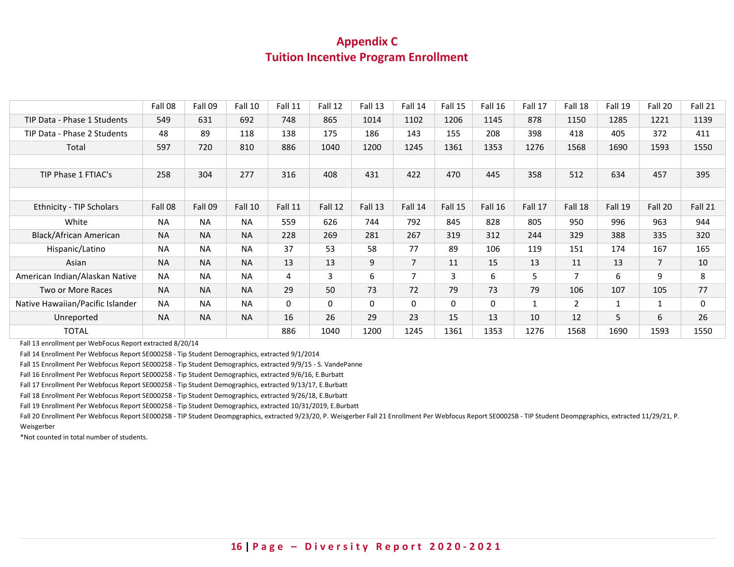## **Appendix C Tuition Incentive Program Enrollment**

<span id="page-15-0"></span>

|                                  | Fall 08   | Fall 09   | Fall 10   | Fall 11        | Fall 12 | Fall 13 | Fall 14        | Fall 15 | Fall 16 | Fall 17 | Fall 18        | Fall 19 | Fall 20        | Fall 21 |
|----------------------------------|-----------|-----------|-----------|----------------|---------|---------|----------------|---------|---------|---------|----------------|---------|----------------|---------|
| TIP Data - Phase 1 Students      | 549       | 631       | 692       | 748            | 865     | 1014    | 1102           | 1206    | 1145    | 878     | 1150           | 1285    | 1221           | 1139    |
| TIP Data - Phase 2 Students      | 48        | 89        | 118       | 138            | 175     | 186     | 143            | 155     | 208     | 398     | 418            | 405     | 372            | 411     |
| Total                            | 597       | 720       | 810       | 886            | 1040    | 1200    | 1245           | 1361    | 1353    | 1276    | 1568           | 1690    | 1593           | 1550    |
|                                  |           |           |           |                |         |         |                |         |         |         |                |         |                |         |
| TIP Phase 1 FTIAC's              | 258       | 304       | 277       | 316            | 408     | 431     | 422            | 470     | 445     | 358     | 512            | 634     | 457            | 395     |
|                                  |           |           |           |                |         |         |                |         |         |         |                |         |                |         |
| <b>Ethnicity - TIP Scholars</b>  | Fall 08   | Fall 09   | Fall 10   | Fall 11        | Fall 12 | Fall 13 | Fall 14        | Fall 15 | Fall 16 | Fall 17 | Fall 18        | Fall 19 | Fall 20        | Fall 21 |
| White                            | <b>NA</b> | <b>NA</b> | <b>NA</b> | 559            | 626     | 744     | 792            | 845     | 828     | 805     | 950            | 996     | 963            | 944     |
| Black/African American           | <b>NA</b> | <b>NA</b> | <b>NA</b> | 228            | 269     | 281     | 267            | 319     | 312     | 244     | 329            | 388     | 335            | 320     |
| Hispanic/Latino                  | <b>NA</b> | <b>NA</b> | <b>NA</b> | 37             | 53      | 58      | 77             | 89      | 106     | 119     | 151            | 174     | 167            | 165     |
| Asian                            | <b>NA</b> | <b>NA</b> | <b>NA</b> | 13             | 13      | 9       | $\overline{7}$ | 11      | 15      | 13      | 11             | 13      | $\overline{7}$ | 10      |
| American Indian/Alaskan Native   | <b>NA</b> | <b>NA</b> | <b>NA</b> | $\overline{4}$ | 3       | 6       | $\overline{7}$ | 3       | 6       | 5       | $\overline{7}$ | 6       | 9              | 8       |
| Two or More Races                | <b>NA</b> | <b>NA</b> | <b>NA</b> | 29             | 50      | 73      | 72             | 79      | 73      | 79      | 106            | 107     | 105            | 77      |
| Native Hawaiian/Pacific Islander | <b>NA</b> | <b>NA</b> | <b>NA</b> | 0              | 0       | 0       | 0              | 0       | 0       |         | $\overline{2}$ | 1       | $\mathbf{1}$   | 0       |
| Unreported                       | <b>NA</b> | <b>NA</b> | <b>NA</b> | 16             | 26      | 29      | 23             | 15      | 13      | 10      | 12             | 5       | 6              | 26      |
| <b>TOTAL</b>                     |           |           |           | 886            | 1040    | 1200    | 1245           | 1361    | 1353    | 1276    | 1568           | 1690    | 1593           | 1550    |
|                                  |           |           |           |                |         |         |                |         |         |         |                |         |                |         |

Fall 13 enrollment per WebFocus Report extracted 8/20/14

Fall 14 Enrollment Per Webfocus Report SE000258 - Tip Student Demographics, extracted 9/1/2014

Fall 15 Enrollment Per Webfocus Report SE000258 - Tip Student Demographics, extracted 9/9/15 - S. VandePanne

Fall 16 Enrollment Per Webfocus Report SE000258 - Tip Student Demographics, extracted 9/6/16, E.Burbatt

Fall 17 Enrollment Per Webfocus Report SE000258 - Tip Student Demographics, extracted 9/13/17, E.Burbatt

Fall 18 Enrollment Per Webfocus Report SE000258 - Tip Student Demographics, extracted 9/26/18, E.Burbatt

Fall 19 Enrollment Per Webfocus Report SE000258 - Tip Student Demographics, extracted 10/31/2019, E.Burbatt

Fall 20 Enrollment Per Webfocus Report SE0002SB - TIP Student Deompgraphics, extracted 9/23/20, P. Weisgerber Fall 21 Enrollment Per Webfocus Report SE0002SB - TIP Student Deompgraphics, extracted 11/29/21, P. Weisgerber

\*Not counted in total number of students.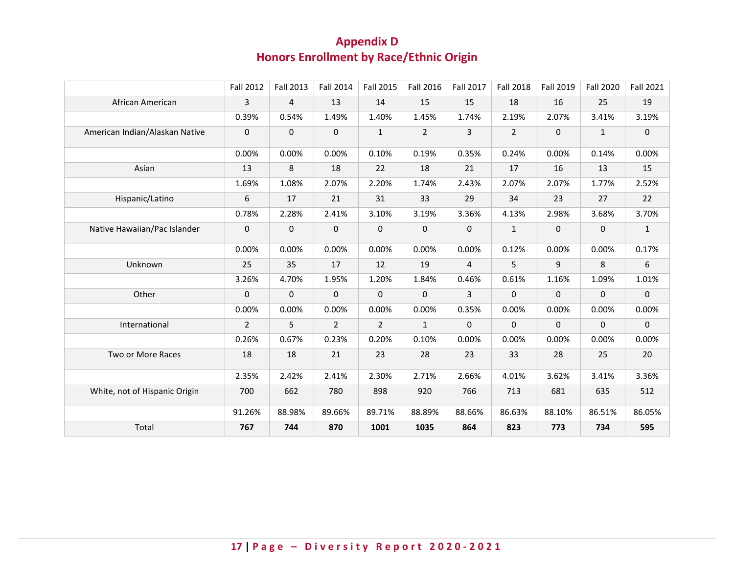# **Appendix D Honors Enrollment by Race/Ethnic Origin**

<span id="page-16-0"></span>

|                                | <b>Fall 2012</b> | Fall 2013      | <b>Fall 2014</b> | <b>Fall 2015</b> | <b>Fall 2016</b> | <b>Fall 2017</b> | <b>Fall 2018</b> | Fall 2019 | <b>Fall 2020</b> | <b>Fall 2021</b> |
|--------------------------------|------------------|----------------|------------------|------------------|------------------|------------------|------------------|-----------|------------------|------------------|
| African American               | 3                | $\overline{4}$ | 13               | 14               | 15               | 15               | 18               | 16        | 25               | 19               |
|                                | 0.39%            | 0.54%          | 1.49%            | 1.40%            | 1.45%            | 1.74%            | 2.19%            | 2.07%     | 3.41%            | 3.19%            |
| American Indian/Alaskan Native | $\pmb{0}$        | 0              | $\mathbf 0$      | $\mathbf{1}$     | $\overline{2}$   | 3                | $\overline{2}$   | 0         | $\mathbf{1}$     | $\mathbf 0$      |
|                                | 0.00%            | 0.00%          | 0.00%            | 0.10%            | 0.19%            | 0.35%            | 0.24%            | 0.00%     | 0.14%            | 0.00%            |
| Asian                          | 13               | 8              | 18               | 22               | 18               | 21               | 17               | 16        | 13               | 15               |
|                                | 1.69%            | 1.08%          | 2.07%            | 2.20%            | 1.74%            | 2.43%            | 2.07%            | 2.07%     | 1.77%            | 2.52%            |
| Hispanic/Latino                | 6                | 17             | 21               | 31               | 33               | 29               | 34               | 23        | 27               | 22               |
|                                | 0.78%            | 2.28%          | 2.41%            | 3.10%            | 3.19%            | 3.36%            | 4.13%            | 2.98%     | 3.68%            | 3.70%            |
| Native Hawaiian/Pac Islander   | $\mathbf 0$      | 0              | $\mathbf 0$      | $\mathbf 0$      | $\mathbf 0$      | 0                | $\mathbf{1}$     | 0         | $\mathbf 0$      | $\mathbf{1}$     |
|                                | 0.00%            | 0.00%          | 0.00%            | 0.00%            | 0.00%            | 0.00%            | 0.12%            | 0.00%     | 0.00%            | 0.17%            |
| Unknown                        | 25               | 35             | 17               | 12               | 19               | $\overline{4}$   | 5                | 9         | 8                | 6                |
|                                | 3.26%            | 4.70%          | 1.95%            | 1.20%            | 1.84%            | 0.46%            | 0.61%            | 1.16%     | 1.09%            | 1.01%            |
| Other                          | $\mathbf 0$      | $\mathbf 0$    | $\mathbf 0$      | $\pmb{0}$        | 0                | 3                | $\mathbf 0$      | 0         | $\mathbf 0$      | $\mathbf 0$      |
|                                | 0.00%            | 0.00%          | 0.00%            | 0.00%            | 0.00%            | 0.35%            | 0.00%            | 0.00%     | 0.00%            | 0.00%            |
| International                  | $\overline{2}$   | 5              | 2                | $\overline{2}$   | $\mathbf{1}$     | 0                | $\mathbf 0$      | 0         | 0                | $\mathbf 0$      |
|                                | 0.26%            | 0.67%          | 0.23%            | 0.20%            | 0.10%            | 0.00%            | 0.00%            | 0.00%     | 0.00%            | 0.00%            |
| Two or More Races              | 18               | 18             | 21               | 23               | 28               | 23               | 33               | 28        | 25               | 20               |
|                                | 2.35%            | 2.42%          | 2.41%            | 2.30%            | 2.71%            | 2.66%            | 4.01%            | 3.62%     | 3.41%            | 3.36%            |
| White, not of Hispanic Origin  | 700              | 662            | 780              | 898              | 920              | 766              | 713              | 681       | 635              | 512              |
|                                | 91.26%           | 88.98%         | 89.66%           | 89.71%           | 88.89%           | 88.66%           | 86.63%           | 88.10%    | 86.51%           | 86.05%           |
| Total                          | 767              | 744            | 870              | 1001             | 1035             | 864              | 823              | 773       | 734              | 595              |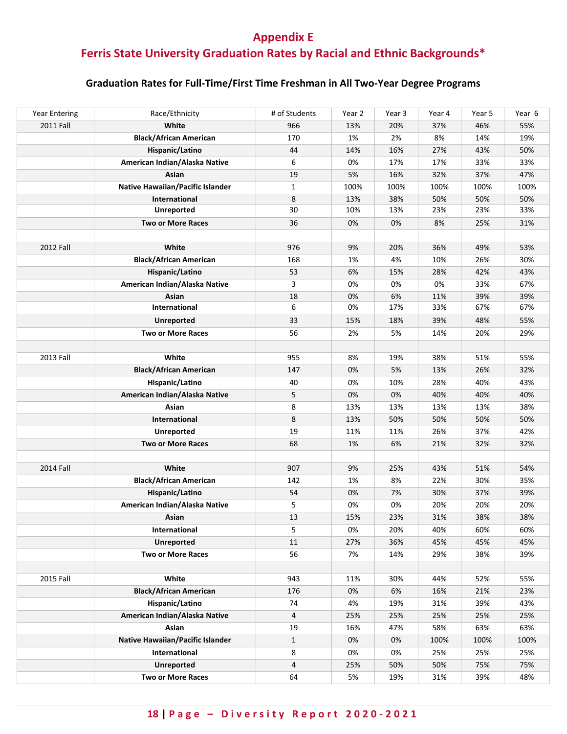# <span id="page-17-0"></span>**Appendix E Ferris State University Graduation Rates by Racial and Ethnic Backgrounds\***

## **Graduation Rates for Full-Time/First Time Freshman in All Two-Year Degree Programs**

| <b>Year Entering</b> | Race/Ethnicity                   | # of Students | Year 2 | Year 3 | Year 4 | Year 5 | Year 6 |
|----------------------|----------------------------------|---------------|--------|--------|--------|--------|--------|
| <b>2011 Fall</b>     | White                            | 966           | 13%    | 20%    | 37%    | 46%    | 55%    |
|                      | <b>Black/African American</b>    | 170           | 1%     | 2%     | 8%     | 14%    | 19%    |
|                      | Hispanic/Latino                  | 44            | 14%    | 16%    | 27%    | 43%    | 50%    |
|                      | American Indian/Alaska Native    | 6             | 0%     | 17%    | 17%    | 33%    | 33%    |
|                      | Asian                            | 19            | 5%     | 16%    | 32%    | 37%    | 47%    |
|                      | Native Hawaiian/Pacific Islander | $\mathbf{1}$  | 100%   | 100%   | 100%   | 100%   | 100%   |
|                      | <b>International</b>             | 8             | 13%    | 38%    | 50%    | 50%    | 50%    |
|                      | <b>Unreported</b>                | 30            | 10%    | 13%    | 23%    | 23%    | 33%    |
|                      | <b>Two or More Races</b>         | 36            | 0%     | 0%     | 8%     | 25%    | 31%    |
|                      |                                  |               |        |        |        |        |        |
| 2012 Fall            | White                            | 976           | 9%     | 20%    | 36%    | 49%    | 53%    |
|                      | <b>Black/African American</b>    | 168           | 1%     | 4%     | 10%    | 26%    | 30%    |
|                      | Hispanic/Latino                  | 53            | 6%     | 15%    | 28%    | 42%    | 43%    |
|                      | American Indian/Alaska Native    | 3             | 0%     | 0%     | 0%     | 33%    | 67%    |
|                      | Asian                            | 18            | 0%     | 6%     | 11%    | 39%    | 39%    |
|                      | International                    | 6             | 0%     | 17%    | 33%    | 67%    | 67%    |
|                      | <b>Unreported</b>                | 33            | 15%    | 18%    | 39%    | 48%    | 55%    |
|                      | <b>Two or More Races</b>         | 56            | 2%     | 5%     | 14%    | 20%    | 29%    |
|                      |                                  |               |        |        |        |        |        |
| 2013 Fall            | White                            | 955           | 8%     | 19%    | 38%    | 51%    | 55%    |
|                      | <b>Black/African American</b>    | 147           | 0%     | 5%     | 13%    | 26%    | 32%    |
|                      | Hispanic/Latino                  | 40            | 0%     | 10%    | 28%    | 40%    | 43%    |
|                      | American Indian/Alaska Native    | 5             | 0%     | 0%     | 40%    | 40%    | 40%    |
|                      | Asian                            | 8             | 13%    | 13%    | 13%    | 13%    | 38%    |
|                      | International                    | 8             | 13%    | 50%    | 50%    | 50%    | 50%    |
|                      | <b>Unreported</b>                | 19            | 11%    | 11%    | 26%    | 37%    | 42%    |
|                      | <b>Two or More Races</b>         | 68            | 1%     | 6%     | 21%    | 32%    | 32%    |
|                      |                                  |               |        |        |        |        |        |
| 2014 Fall            | White                            | 907           | 9%     | 25%    | 43%    | 51%    | 54%    |
|                      | <b>Black/African American</b>    | 142           | 1%     | 8%     | 22%    | 30%    | 35%    |
|                      | Hispanic/Latino                  | 54            | 0%     | 7%     | 30%    | 37%    | 39%    |
|                      | American Indian/Alaska Native    | 5             | 0%     | 0%     | 20%    | 20%    | 20%    |
|                      | Asian                            | 13            | 15%    | 23%    | 31%    | 38%    | 38%    |
|                      | International                    | 5             | 0%     | 20%    | 40%    | 60%    | 60%    |
|                      | <b>Unreported</b>                | 11            | 27%    | 36%    | 45%    | 45%    | 45%    |
|                      | <b>Two or More Races</b>         | 56            | 7%     | 14%    | 29%    | 38%    | 39%    |
|                      |                                  |               |        |        |        |        |        |
| 2015 Fall            | White                            | 943           | 11%    | 30%    | 44%    | 52%    | 55%    |
|                      | <b>Black/African American</b>    | 176           | 0%     | 6%     | 16%    | 21%    | 23%    |
|                      | Hispanic/Latino                  | 74            | 4%     | 19%    | 31%    | 39%    | 43%    |
|                      | American Indian/Alaska Native    | 4             | 25%    | 25%    | 25%    | 25%    | 25%    |
|                      | Asian                            | 19            | 16%    | 47%    | 58%    | 63%    | 63%    |
|                      | Native Hawaiian/Pacific Islander | $\mathbf{1}$  | 0%     | 0%     | 100%   | 100%   | 100%   |
|                      | International                    | 8             | 0%     | 0%     | 25%    | 25%    | 25%    |
|                      | <b>Unreported</b>                | 4             | 25%    | 50%    | 50%    | 75%    | 75%    |
|                      | <b>Two or More Races</b>         | 64            | 5%     | 19%    | 31%    | 39%    | 48%    |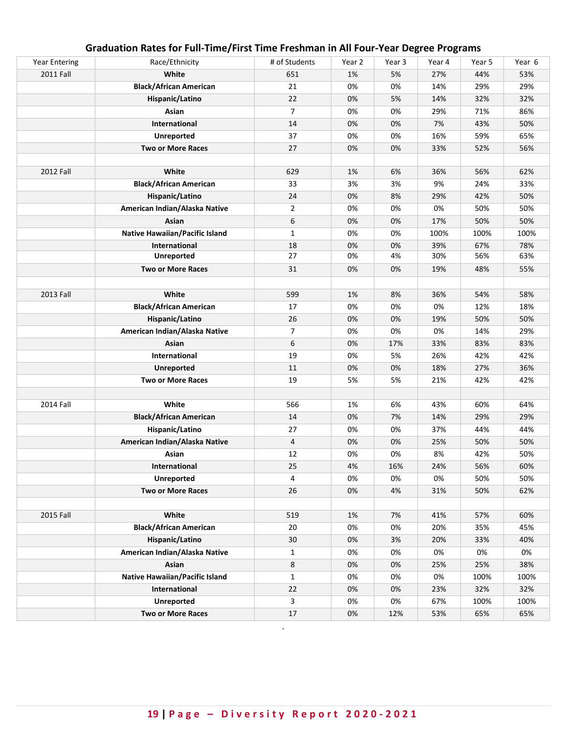| <b>Year Entering</b> | Race/Ethnicity                        | # of Students  | Year 2 | Year 3 | Year 4 | Year 5 | Year 6 |
|----------------------|---------------------------------------|----------------|--------|--------|--------|--------|--------|
| 2011 Fall            | White                                 | 651            | 1%     | 5%     | 27%    | 44%    | 53%    |
|                      | <b>Black/African American</b>         | 21             | 0%     | 0%     | 14%    | 29%    | 29%    |
|                      | Hispanic/Latino                       | 22             | 0%     | 5%     | 14%    | 32%    | 32%    |
|                      | Asian                                 | $\overline{7}$ | 0%     | 0%     | 29%    | 71%    | 86%    |
|                      | International                         | 14             | 0%     | 0%     | 7%     | 43%    | 50%    |
|                      | <b>Unreported</b>                     | 37             | 0%     | 0%     | 16%    | 59%    | 65%    |
|                      | <b>Two or More Races</b>              | 27             | 0%     | 0%     | 33%    | 52%    | 56%    |
|                      |                                       |                |        |        |        |        |        |
| 2012 Fall            | White                                 | 629            | 1%     | 6%     | 36%    | 56%    | 62%    |
|                      | <b>Black/African American</b>         | 33             | 3%     | 3%     | 9%     | 24%    | 33%    |
|                      | Hispanic/Latino                       | 24             | 0%     | 8%     | 29%    | 42%    | 50%    |
|                      | American Indian/Alaska Native         | $\overline{2}$ | 0%     | 0%     | 0%     | 50%    | 50%    |
|                      | Asian                                 | 6              | 0%     | 0%     | 17%    | 50%    | 50%    |
|                      | Native Hawaiian/Pacific Island        | $\mathbf{1}$   | 0%     | 0%     | 100%   | 100%   | 100%   |
|                      | International                         | 18             | 0%     | 0%     | 39%    | 67%    | 78%    |
|                      | <b>Unreported</b>                     | 27             | 0%     | 4%     | 30%    | 56%    | 63%    |
|                      | <b>Two or More Races</b>              | 31             | 0%     | 0%     | 19%    | 48%    | 55%    |
|                      |                                       |                |        |        |        |        |        |
| 2013 Fall            | White                                 | 599            | 1%     | 8%     | 36%    | 54%    | 58%    |
|                      | <b>Black/African American</b>         | 17             | 0%     | 0%     | 0%     | 12%    | 18%    |
|                      | Hispanic/Latino                       | 26             | 0%     | 0%     | 19%    | 50%    | 50%    |
|                      | American Indian/Alaska Native         | 7              | 0%     | 0%     | 0%     | 14%    | 29%    |
|                      | Asian                                 | 6              | 0%     | 17%    | 33%    | 83%    | 83%    |
|                      | International                         | 19             | 0%     | 5%     | 26%    | 42%    | 42%    |
|                      | <b>Unreported</b>                     | 11             | 0%     | 0%     | 18%    | 27%    | 36%    |
|                      | <b>Two or More Races</b>              | 19             | 5%     | 5%     | 21%    | 42%    | 42%    |
|                      |                                       |                |        |        |        |        |        |
| 2014 Fall            | White                                 | 566            | 1%     | 6%     | 43%    | 60%    | 64%    |
|                      | <b>Black/African American</b>         | 14             | 0%     | 7%     | 14%    | 29%    | 29%    |
|                      | Hispanic/Latino                       | 27             | 0%     | 0%     | 37%    | 44%    | 44%    |
|                      | American Indian/Alaska Native         | $\overline{4}$ | 0%     | 0%     | 25%    | 50%    | 50%    |
|                      | Asian                                 | 12             | 0%     | 0%     | 8%     | 42%    | 50%    |
|                      | International                         | 25             | 4%     | 16%    | 24%    | 56%    | 60%    |
|                      | <b>Unreported</b>                     | 4              | 0%     | 0%     | 0%     | 50%    | 50%    |
|                      | <b>Two or More Races</b>              |                |        | 4%     |        |        |        |
|                      |                                       | 26             | 0%     |        | 31%    | 50%    | 62%    |
| 2015 Fall            | White                                 | 519            | 1%     | 7%     | 41%    | 57%    | 60%    |
|                      | <b>Black/African American</b>         | 20             | 0%     | 0%     | 20%    | 35%    | 45%    |
|                      |                                       |                |        |        |        |        |        |
|                      | Hispanic/Latino                       | $30\,$         | 0%     | 3%     | 20%    | 33%    | 40%    |
|                      | American Indian/Alaska Native         | $\mathbf{1}$   | 0%     | 0%     | 0%     | 0%     | 0%     |
|                      | Asian                                 | 8              | 0%     | 0%     | 25%    | 25%    | 38%    |
|                      | <b>Native Hawaiian/Pacific Island</b> | $\mathbf{1}$   | 0%     | 0%     | 0%     | 100%   | 100%   |
|                      | International                         | 22             | 0%     | 0%     | 23%    | 32%    | 32%    |
|                      | <b>Unreported</b>                     | 3              | 0%     | 0%     | 67%    | 100%   | 100%   |
|                      | <b>Two or More Races</b>              | 17             | 0%     | 12%    | 53%    | 65%    | 65%    |

# **Graduation Rates for Full-Time/First Time Freshman in All Four-Year Degree Programs**

.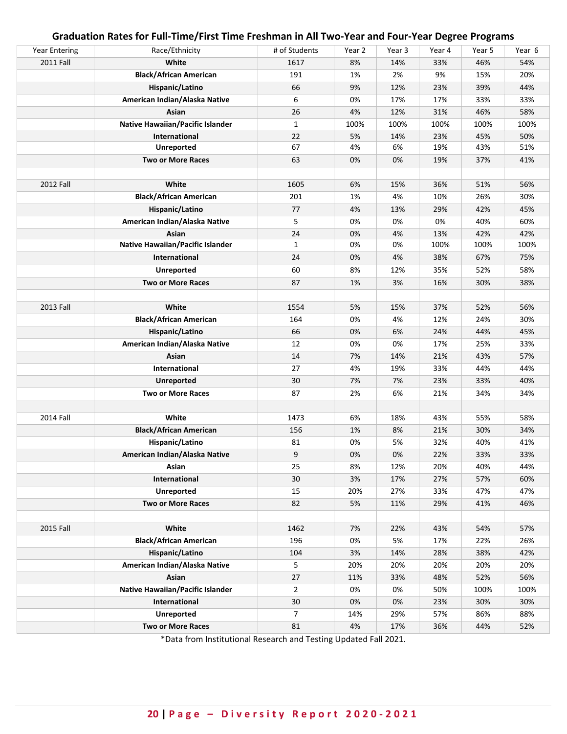| <b>Year Entering</b> | Race/Ethnicity                   | # of Students  | Year 2 | Year 3 | Year 4 | Year 5 | Year 6 |
|----------------------|----------------------------------|----------------|--------|--------|--------|--------|--------|
| 2011 Fall            | White                            | 1617           | 8%     | 14%    | 33%    | 46%    | 54%    |
|                      | <b>Black/African American</b>    | 191            | 1%     | 2%     | 9%     | 15%    | 20%    |
|                      | Hispanic/Latino                  | 66             | 9%     | 12%    | 23%    | 39%    | 44%    |
|                      | American Indian/Alaska Native    | 6              | 0%     | 17%    | 17%    | 33%    | 33%    |
|                      | Asian                            | 26             | 4%     | 12%    | 31%    | 46%    | 58%    |
|                      | Native Hawaiian/Pacific Islander | $\mathbf{1}$   | 100%   | 100%   | 100%   | 100%   | 100%   |
|                      | <b>International</b>             | 22             | 5%     | 14%    | 23%    | 45%    | 50%    |
|                      | <b>Unreported</b>                | 67             | 4%     | 6%     | 19%    | 43%    | 51%    |
|                      | <b>Two or More Races</b>         | 63             | 0%     | 0%     | 19%    | 37%    | 41%    |
|                      |                                  |                |        |        |        |        |        |
| 2012 Fall            | White                            | 1605           | 6%     | 15%    | 36%    | 51%    | 56%    |
|                      | <b>Black/African American</b>    | 201            | 1%     | 4%     | 10%    | 26%    | 30%    |
|                      | Hispanic/Latino                  | 77             | 4%     | 13%    | 29%    | 42%    | 45%    |
|                      | American Indian/Alaska Native    | 5              | 0%     | 0%     | 0%     | 40%    | 60%    |
|                      | Asian                            | 24             | 0%     | 4%     | 13%    | 42%    | 42%    |
|                      | Native Hawaiian/Pacific Islander | $\mathbf{1}$   | 0%     | 0%     | 100%   | 100%   | 100%   |
|                      | International                    | 24             | 0%     | 4%     | 38%    | 67%    | 75%    |
|                      | <b>Unreported</b>                | 60             | 8%     | 12%    | 35%    | 52%    | 58%    |
|                      | <b>Two or More Races</b>         | 87             | 1%     | 3%     | 16%    | 30%    | 38%    |
|                      |                                  |                |        |        |        |        |        |
| 2013 Fall            | White                            | 1554           | 5%     | 15%    | 37%    | 52%    | 56%    |
|                      | <b>Black/African American</b>    | 164            | 0%     | 4%     | 12%    | 24%    | 30%    |
|                      | Hispanic/Latino                  | 66             | 0%     | 6%     | 24%    | 44%    | 45%    |
|                      | American Indian/Alaska Native    | 12             | 0%     | 0%     | 17%    | 25%    | 33%    |
|                      | Asian                            | 14             | 7%     | 14%    | 21%    | 43%    | 57%    |
|                      | International                    | 27             | 4%     | 19%    | 33%    | 44%    | 44%    |
|                      | <b>Unreported</b>                | 30             | 7%     | 7%     | 23%    | 33%    | 40%    |
|                      | <b>Two or More Races</b>         | 87             | 2%     | 6%     | 21%    | 34%    | 34%    |
|                      |                                  |                |        |        |        |        |        |
| 2014 Fall            | White                            | 1473           | 6%     | 18%    | 43%    | 55%    | 58%    |
|                      | <b>Black/African American</b>    | 156            | 1%     | 8%     | 21%    | 30%    | 34%    |
|                      | Hispanic/Latino                  | 81             | 0%     | 5%     | 32%    | 40%    | 41%    |
|                      | American Indian/Alaska Native    | 9              | 0%     | 0%     | 22%    | 33%    | 33%    |
|                      | Asian                            | 25             | 8%     | 12%    | 20%    | 40%    | 44%    |
|                      | International                    | 30             | 3%     | 17%    | 27%    | 57%    | 60%    |
|                      | <b>Unreported</b>                | 15             | 20%    | 27%    | 33%    | 47%    | 47%    |
|                      | <b>Two or More Races</b>         | 82             | 5%     | 11%    | 29%    | 41%    | 46%    |
|                      |                                  |                |        |        |        |        |        |
| 2015 Fall            | White                            | 1462           | 7%     | 22%    | 43%    | 54%    | 57%    |
|                      | <b>Black/African American</b>    | 196            | 0%     | 5%     | 17%    | 22%    | 26%    |
|                      | Hispanic/Latino                  | 104            | 3%     | 14%    | 28%    | 38%    | 42%    |
|                      | American Indian/Alaska Native    | 5              | 20%    | 20%    | 20%    | 20%    | 20%    |
|                      | Asian                            | 27             | 11%    | 33%    | 48%    | 52%    | 56%    |
|                      | Native Hawaiian/Pacific Islander | $\overline{2}$ | 0%     | 0%     | 50%    | 100%   | 100%   |
|                      | International                    | 30             | 0%     | 0%     | 23%    | 30%    | 30%    |
|                      | <b>Unreported</b>                | $\overline{7}$ | 14%    | 29%    | 57%    | 86%    | 88%    |
|                      | <b>Two or More Races</b>         | 81             | 4%     | 17%    | 36%    | 44%    | 52%    |

## **Graduation Rates for Full-Time/First Time Freshman in All Two-Year and Four-Year Degree Programs**

\*Data from Institutional Research and Testing Updated Fall 2021.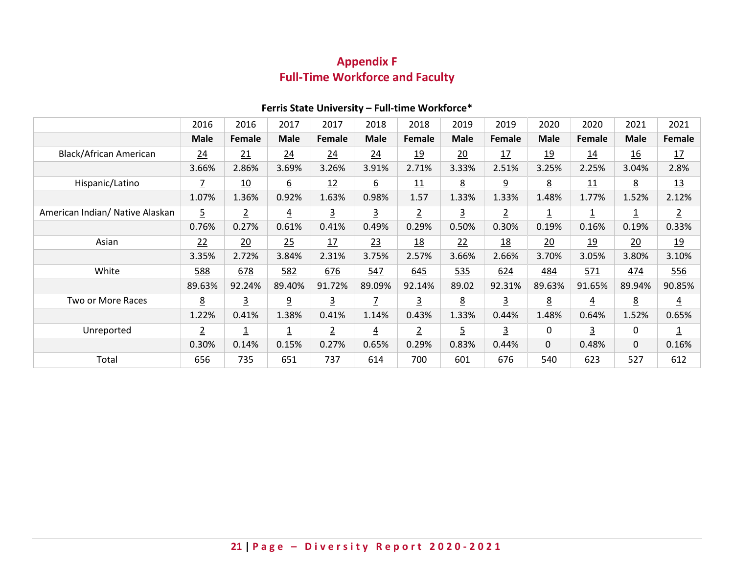# **Appendix F Full-Time Workforce and Faculty**

<span id="page-20-0"></span>

|                                 | 2016            | 2016                    | 2017                    | 2017           | 2018           | 2018           | 2019           | 2019           | 2020            | 2020                    | 2021            | 2021                    |
|---------------------------------|-----------------|-------------------------|-------------------------|----------------|----------------|----------------|----------------|----------------|-----------------|-------------------------|-----------------|-------------------------|
|                                 | <b>Male</b>     | Female                  | <b>Male</b>             | <b>Female</b>  | <b>Male</b>    | <b>Female</b>  | <b>Male</b>    | Female         | <b>Male</b>     | Female                  | <b>Male</b>     | Female                  |
| Black/African American          | 24              | 21                      | 24                      | 24             | 24             | <u>19</u>      | 20             | 17             | <u>19</u>       | 14                      | 16              | 17                      |
|                                 | 3.66%           | 2.86%                   | 3.69%                   | 3.26%          | 3.91%          | 2.71%          | 3.33%          | 2.51%          | 3.25%           | 2.25%                   | 3.04%           | 2.8%                    |
| Hispanic/Latino                 |                 | <u>10</u>               | $\underline{6}$         | 12             | <u>6</u>       | 11             | $\overline{8}$ | 9              | $\underline{8}$ | 11                      | $\underline{8}$ | 13                      |
|                                 | 1.07%           | 1.36%                   | 0.92%                   | 1.63%          | 0.98%          | 1.57           | 1.33%          | 1.33%          | 1.48%           | 1.77%                   | 1.52%           | 2.12%                   |
| American Indian/ Native Alaskan | $\overline{5}$  | $\overline{2}$          | $\overline{4}$          | <u>3</u>       | <u>3</u>       | $\overline{2}$ | <u>3</u>       | $\overline{2}$ | 1               | $\overline{\mathbf{1}}$ | <u>1</u>        | $\overline{2}$          |
|                                 | 0.76%           | 0.27%                   | 0.61%                   | 0.41%          | 0.49%          | 0.29%          | 0.50%          | 0.30%          | 0.19%           | 0.16%                   | 0.19%           | 0.33%                   |
| Asian                           | 22              | 20                      | 25                      | 17             | 23             | <u>18</u>      | 22             | <u>18</u>      | 20              | <u>19</u>               | $\frac{20}{2}$  | 19                      |
|                                 | 3.35%           | 2.72%                   | 3.84%                   | 2.31%          | 3.75%          | 2.57%          | 3.66%          | 2.66%          | 3.70%           | 3.05%                   | 3.80%           | 3.10%                   |
| White                           | 588             | 678                     | <u>582</u>              | 676            | 547            | 645            | 535            | 624            | <u>484</u>      | 571                     | <u>474</u>      | <u>556</u>              |
|                                 | 89.63%          | 92.24%                  | 89.40%                  | 91.72%         | 89.09%         | 92.14%         | 89.02          | 92.31%         | 89.63%          | 91.65%                  | 89.94%          | 90.85%                  |
| Two or More Races               | $\underline{8}$ | $\overline{3}$          | $\overline{6}$          | $\overline{3}$ | $\overline{1}$ | $\overline{3}$ | 8              | 3              | $\underline{8}$ | $\overline{4}$          | <u>8</u>        | $\overline{4}$          |
|                                 | 1.22%           | 0.41%                   | 1.38%                   | 0.41%          | 1.14%          | 0.43%          | 1.33%          | 0.44%          | 1.48%           | 0.64%                   | 1.52%           | 0.65%                   |
| Unreported                      | $\overline{2}$  | $\overline{\mathbf{1}}$ | $\overline{\mathsf{1}}$ | $\overline{2}$ | $\overline{4}$ | $\overline{2}$ | <u>5</u>       | $\overline{3}$ | 0               | $\overline{3}$          | 0               | $\overline{\mathbf{1}}$ |
|                                 | 0.30%           | 0.14%                   | 0.15%                   | 0.27%          | 0.65%          | 0.29%          | 0.83%          | 0.44%          | $\mathbf 0$     | 0.48%                   | $\mathbf 0$     | 0.16%                   |
| Total                           | 656             | 735                     | 651                     | 737            | 614            | 700            | 601            | 676            | 540             | 623                     | 527             | 612                     |

## **Ferris State University – Full-time Workforce\***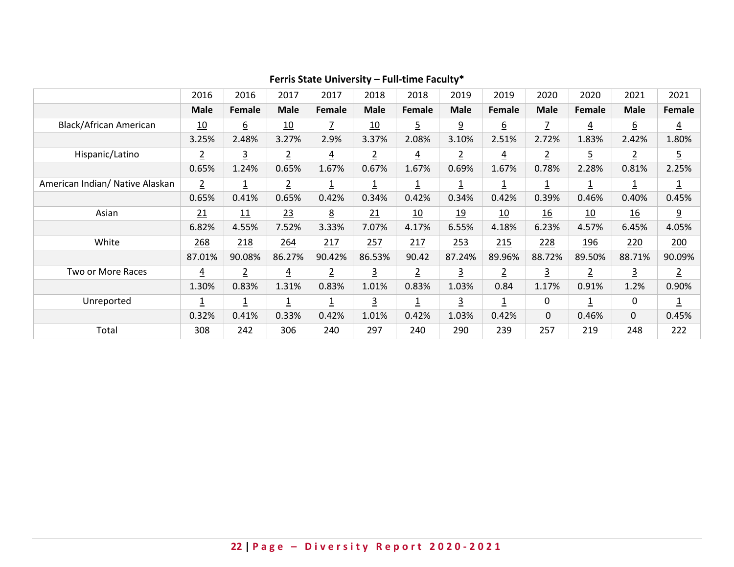|                                 | 2016                    | 2016             | 2017           | 2017                    | 2018                    | 2018           | 2019                    | 2019                    | 2020             | 2020                    | 2021             | 2021                    |
|---------------------------------|-------------------------|------------------|----------------|-------------------------|-------------------------|----------------|-------------------------|-------------------------|------------------|-------------------------|------------------|-------------------------|
|                                 | <b>Male</b>             | Female           | <b>Male</b>    | Female                  | <b>Male</b>             | Female         | <b>Male</b>             | Female                  | <b>Male</b>      | Female                  | <b>Male</b>      | Female                  |
| Black/African American          | 10                      | $6 \overline{6}$ | 10             | Z                       | 10                      | 5              | <u>و</u>                | $6 \overline{6}$        | $\overline{1}$   | $\overline{4}$          | $\underline{6}$  | $\overline{4}$          |
|                                 | 3.25%                   | 2.48%            | 3.27%          | 2.9%                    | 3.37%                   | 2.08%          | 3.10%                   | 2.51%                   | 2.72%            | 1.83%                   | 2.42%            | 1.80%                   |
| Hispanic/Latino                 | $\overline{2}$          | $\overline{3}$   | $\overline{2}$ | $\overline{4}$          | $\overline{2}$          | $\overline{4}$ | $\overline{2}$          | $\overline{4}$          | $\overline{2}$   | $\overline{5}$          | $\overline{2}$   | $\overline{5}$          |
|                                 | 0.65%                   | 1.24%            | 0.65%          | 1.67%                   | 0.67%                   | 1.67%          | 0.69%                   | 1.67%                   | 0.78%            | 2.28%                   | 0.81%            | 2.25%                   |
| American Indian/ Native Alaskan | $\overline{2}$          | $\overline{1}$   | $\overline{2}$ | $\overline{\mathbf{1}}$ | $\overline{\mathbf{1}}$ | 1              | $\overline{\mathsf{1}}$ | $\overline{\mathbf{1}}$ | <u>1</u>         | $\overline{1}$          | <u>1</u>         | $\overline{\mathbf{1}}$ |
|                                 | 0.65%                   | 0.41%            | 0.65%          | 0.42%                   | 0.34%                   | 0.42%          | 0.34%                   | 0.42%                   | 0.39%            | 0.46%                   | 0.40%            | 0.45%                   |
| Asian                           | 21                      | 11               | 23             | $\underline{8}$         | 21                      | 10             | 19                      | 10                      | $\underline{16}$ | 10                      | $\underline{16}$ | <u>9</u>                |
|                                 | 6.82%                   | 4.55%            | 7.52%          | 3.33%                   | 7.07%                   | 4.17%          | 6.55%                   | 4.18%                   | 6.23%            | 4.57%                   | 6.45%            | 4.05%                   |
| White                           | 268                     | 218              | 264            | 217                     | 257                     | 217            | 253                     | 215                     | 228              | <u>196</u>              | 220              | 200                     |
|                                 | 87.01%                  | 90.08%           | 86.27%         | 90.42%                  | 86.53%                  | 90.42          | 87.24%                  | 89.96%                  | 88.72%           | 89.50%                  | 88.71%           | 90.09%                  |
| Two or More Races               | $\overline{4}$          | $\overline{2}$   | $\overline{4}$ | $\overline{2}$          | $\overline{3}$          | $\overline{2}$ | 3                       | $\overline{2}$          | $\overline{3}$   | $\overline{2}$          | 3                | $\overline{2}$          |
|                                 | 1.30%                   | 0.83%            | 1.31%          | 0.83%                   | 1.01%                   | 0.83%          | 1.03%                   | 0.84                    | 1.17%            | 0.91%                   | 1.2%             | 0.90%                   |
| Unreported                      | $\overline{\mathsf{1}}$ | $\overline{1}$   | <u>1</u>       | $\overline{\mathbf{1}}$ | $\overline{3}$          | <u>1</u>       | $\overline{3}$          | $\overline{1}$          | 0                | $\overline{\mathsf{1}}$ | 0                | $\overline{\mathbf{1}}$ |
|                                 | 0.32%                   | 0.41%            | 0.33%          | 0.42%                   | 1.01%                   | 0.42%          | 1.03%                   | 0.42%                   | 0                | 0.46%                   | 0                | 0.45%                   |
| Total                           | 308                     | 242              | 306            | 240                     | 297                     | 240            | 290                     | 239                     | 257              | 219                     | 248              | 222                     |

## **Ferris State University – Full-time Faculty\***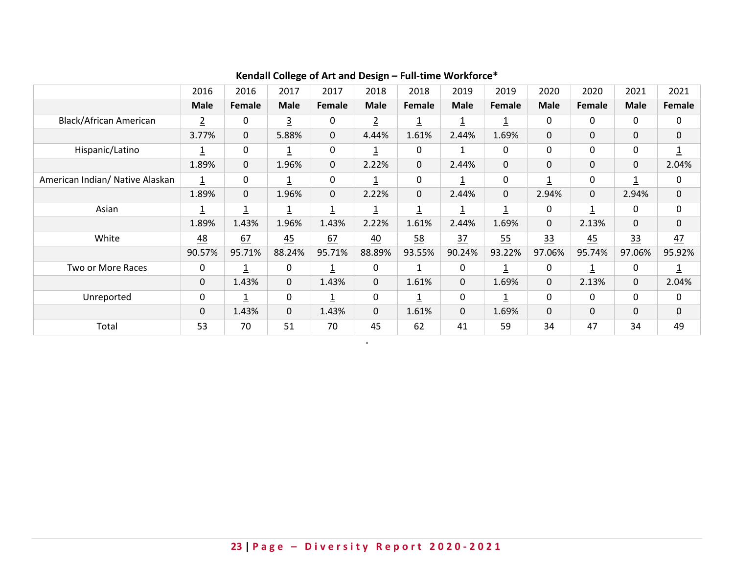|                                 | 2016           | 2016           | 2017           | 2017                    | 2018                    | 2018           | 2019        | 2019                    | 2020                    | 2020           | 2021         | 2021                    |
|---------------------------------|----------------|----------------|----------------|-------------------------|-------------------------|----------------|-------------|-------------------------|-------------------------|----------------|--------------|-------------------------|
|                                 | <b>Male</b>    | Female         | <b>Male</b>    | Female                  | <b>Male</b>             | Female         | <b>Male</b> | Female                  | <b>Male</b>             | Female         | <b>Male</b>  | <b>Female</b>           |
| <b>Black/African American</b>   | $\overline{2}$ | 0              | $\overline{3}$ | 0                       | $\overline{2}$          | $\overline{1}$ | <u>1</u>    | $\overline{\mathbf{1}}$ | 0                       | 0              | 0            | 0                       |
|                                 | 3.77%          | $\mathbf 0$    | 5.88%          | $\mathbf 0$             | 4.44%                   | 1.61%          | 2.44%       | 1.69%                   | $\mathbf{0}$            | $\Omega$       | $\mathbf 0$  | $\mathbf 0$             |
| Hispanic/Latino                 | <u>1</u>       | 0              | $\overline{1}$ | 0                       | <u>1</u>                | 0              |             | $\mathbf{0}$            | $\mathbf 0$             | $\mathbf{0}$   | 0            | $\overline{1}$          |
|                                 | 1.89%          | $\mathbf 0$    | 1.96%          | $\mathbf 0$             | 2.22%                   | 0              | 2.44%       | $\Omega$                | $\mathbf 0$             | 0              | $\mathbf 0$  | 2.04%                   |
| American Indian/ Native Alaskan | $\overline{1}$ | $\mathbf{0}$   | $\overline{1}$ | 0                       | $\overline{\mathsf{1}}$ | 0              | <u>1</u>    | 0                       | $\overline{\mathbf{1}}$ | 0              | $\mathbf{1}$ | 0                       |
|                                 | 1.89%          | $\mathbf 0$    | 1.96%          | $\mathbf 0$             | 2.22%                   | $\mathbf 0$    | 2.44%       | $\Omega$                | 2.94%                   | $\mathbf 0$    | 2.94%        | $\mathbf 0$             |
| Asian                           |                | $\overline{1}$ | $\overline{1}$ | $\overline{\mathbf{1}}$ | 1                       |                |             | $\overline{1}$          | $\mathbf{0}$            | $\overline{1}$ | 0            | $\mathbf 0$             |
|                                 | 1.89%          | 1.43%          | 1.96%          | 1.43%                   | 2.22%                   | 1.61%          | 2.44%       | 1.69%                   | $\mathbf 0$             | 2.13%          | 0            | $\mathbf 0$             |
| White                           | 48             | 67             | 45             | 67                      | 40                      | 58             | 37          | 55                      | 33                      | 45             | 33           | 47                      |
|                                 | 90.57%         | 95.71%         | 88.24%         | 95.71%                  | 88.89%                  | 93.55%         | 90.24%      | 93.22%                  | 97.06%                  | 95.74%         | 97.06%       | 95.92%                  |
| Two or More Races               | $\mathbf{0}$   | 1              | 0              | $\overline{1}$          | 0                       | $\mathbf{1}$   | 0           | $\overline{\mathbf{1}}$ | 0                       | $\overline{1}$ | 0            | $\overline{\mathbf{1}}$ |
|                                 | 0              | 1.43%          | 0              | 1.43%                   | $\mathbf 0$             | 1.61%          | 0           | 1.69%                   | $\mathbf 0$             | 2.13%          | $\mathbf 0$  | 2.04%                   |
| Unreported                      | $\mathbf 0$    |                | 0              | $\overline{1}$          | $\pmb{0}$               |                | 0           |                         | $\mathbf 0$             | 0              | 0            | $\mathbf 0$             |
|                                 | 0              | 1.43%          | 0              | 1.43%                   | $\mathbf 0$             | 1.61%          | 0           | 1.69%                   | $\mathbf 0$             | 0              | 0            | $\mathbf 0$             |
| Total                           | 53             | 70             | 51             | 70                      | 45                      | 62             | 41          | 59                      | 34                      | 47             | 34           | 49                      |

**.**

# **Kendall College of Art and Design – Full-time Workforce\***